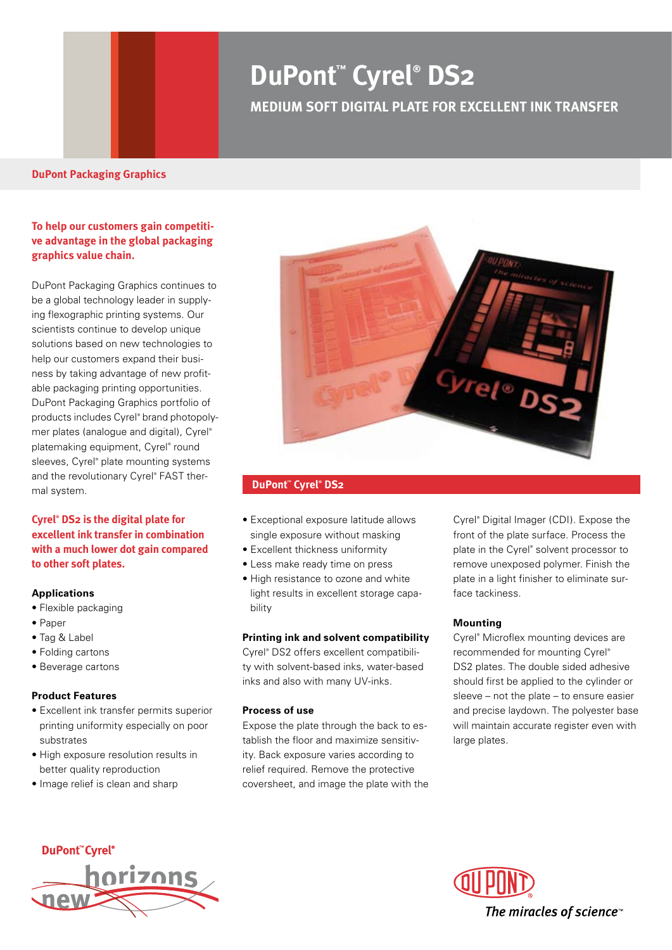# **DuPont™ Cyrel® DS2**

### **MEDIUM SOFT DIGITAL PLATE FOR EXCELLENT INK TRANSFER**

#### **DuPont Packaging Graphics**

#### **To help our customers gain competitive advantage in the global packaging graphics value chain.**

DuPont Packaging Graphics continues to be a global technology leader in supplying flexographic printing systems. Our scientists continue to develop unique solutions based on new technologies to help our customers expand their business by taking advantage of new profitable packaging printing opportunities. DuPont Packaging Graphics portfolio of products includes Cyrel® brand photopolymer plates (analogue and digital), Cyrel® platemaking equipment, Cyrel® round sleeves, Cyrel® plate mounting systems and the revolutionary Cyrel® FAST thermal system.

#### **Cyrel® DS2 is the digital plate for excellent ink transfer in combination with a much lower dot gain compared to other soft plates.**

#### **Applications**

- Flexible packaging
- Paper
- Tag & Label
- Folding cartons
- Beverage cartons

#### **Product Features**

- Excellent ink transfer permits superior printing uniformity especially on poor substrates
- High exposure resolution results in better quality reproduction
- Image relief is clean and sharp



#### **DuPont™ Cyrel® DS2**

- Exceptional exposure latitude allows single exposure without masking
- Excellent thickness uniformity
- Less make ready time on press
- High resistance to ozone and white light results in excellent storage capability

#### **Printing ink and solvent compatibility**

Cyrel® DS2 offers excellent compatibility with solvent-based inks, water-based inks and also with many UV-inks.

#### **Process of use**

Expose the plate through the back to establish the floor and maximize sensitivity. Back exposure varies according to relief required. Remove the protective coversheet, and image the plate with the

Cyrel® Digital Imager (CDI). Expose the front of the plate surface. Process the plate in the Cyrel® solvent processor to remove unexposed polymer. Finish the plate in a light finisher to eliminate surface tackiness.

#### **Mounting**

Cyrel® Microflex mounting devices are recommended for mounting Cyrel® DS2 plates. The double sided adhesive should first be applied to the cylinder or sleeve – not the plate – to ensure easier and precise laydown. The polyester base will maintain accurate register even with large plates.